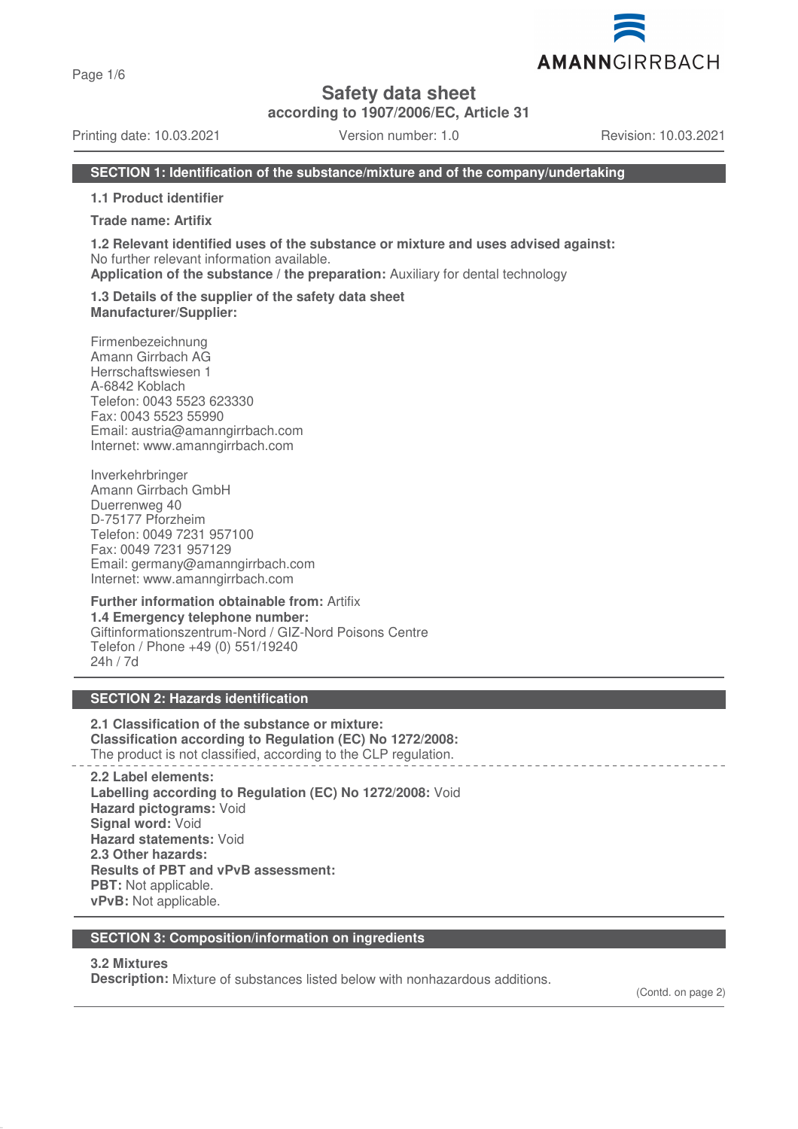Page 1/6

**Safety data sheet**

**according to 1907/2006/EC, Article 31**

Printing date: 10.03.2021 Version number: 1.0 Revision: 10.03.2021

AMANNGIRRBACH

#### **SECTION 1: Identification of the substance/mixture and of the company/undertaking**

**1.1 Product identifier**

**Trade name: Artifix**

**1.2 Relevant identified uses of the substance or mixture and uses advised against:** No further relevant information available.

**Application of the substance / the preparation:** Auxiliary for dental technology

#### **1.3 Details of the supplier of the safety data sheet Manufacturer/Supplier:**

Firmenbezeichnung Amann Girrbach AG Herrschaftswiesen 1 A-6842 Koblach Telefon: 0043 5523 623330 Fax: 0043 5523 55990 Email: austria@amanngirrbach.com Internet: www.amanngirrbach.com

Inverkehrbringer Amann Girrbach GmbH Duerrenweg 40 D-75177 Pforzheim Telefon: 0049 7231 957100 Fax: 0049 7231 957129 Email: germany@amanngirrbach.com Internet: www.amanngirrbach.com

#### **Further information obtainable from:** Artifix **1.4 Emergency telephone number:** Giftinformationszentrum-Nord / GIZ-Nord Poisons Centre Telefon / Phone +49 (0) 551/19240 24h / 7d

## **SECTION 2: Hazards identification**

**2.1 Classification of the substance or mixture: Classification according to Regulation (EC) No 1272/2008:** The product is not classified, according to the CLP regulation.

**2.2 Label elements: Labelling according to Regulation (EC) No 1272/2008:** Void **Hazard pictograms:** Void **Signal word:** Void **Hazard statements:** Void **2.3 Other hazards: Results of PBT and vPvB assessment: PBT:** Not applicable. **vPvB:** Not applicable.

#### **SECTION 3: Composition/information on ingredients**

#### **3.2 Mixtures**

**Description:** Mixture of substances listed below with nonhazardous additions.

(Contd. on page 2)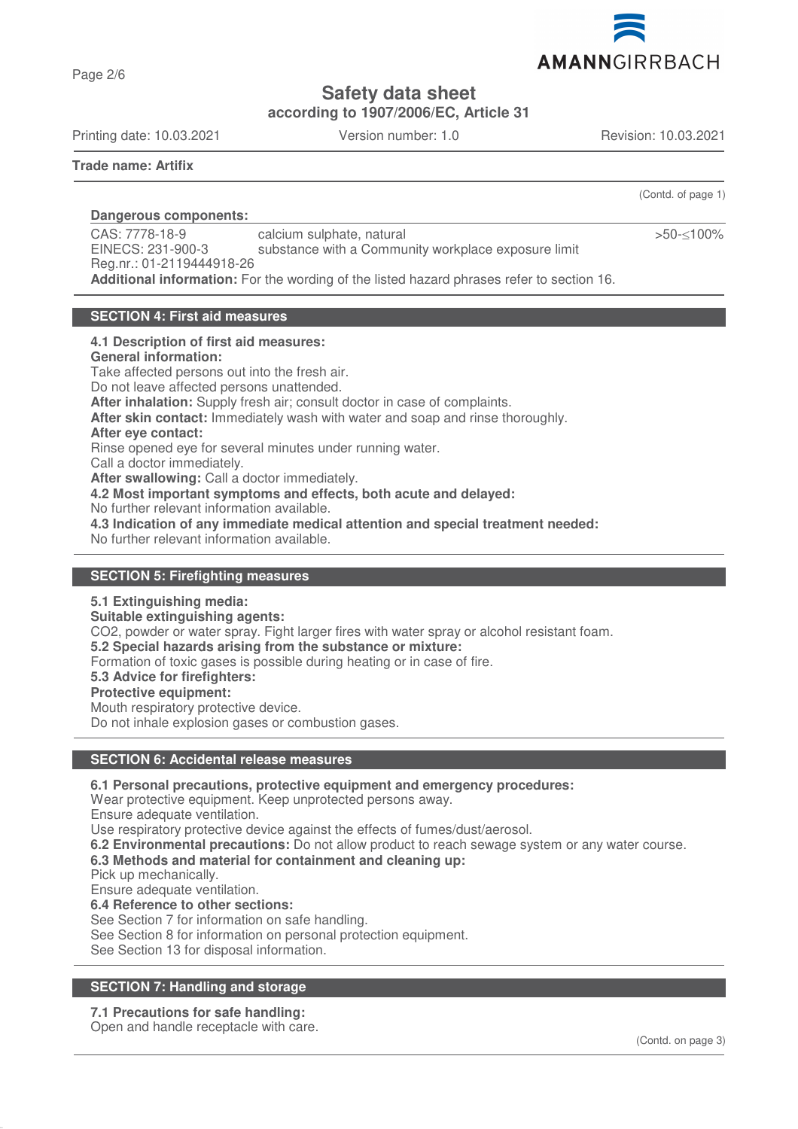

**Safety data sheet**

**according to 1907/2006/EC, Article 31**

Printing date: 10.03.2021 Version number: 1.0 Revision: 10.03.2021

**Trade name: Artifix**

Page 2/6

(Contd. of page 1)

>50-≤100%

**Dangerous components:** 

CAS: 7778-18-9 EINECS: 231-900-3 Reg.nr.: 01-2119444918-26 calcium sulphate, natural substance with a Community workplace exposure limit **Additional information:** For the wording of the listed hazard phrases refer to section 16.

#### **SECTION 4: First aid measures**

#### **4.1 Description of first aid measures:**

**General information:**

Take affected persons out into the fresh air.

Do not leave affected persons unattended. **After inhalation:** Supply fresh air; consult doctor in case of complaints.

**After skin contact:** Immediately wash with water and soap and rinse thoroughly.

#### **After eye contact:**

Rinse opened eye for several minutes under running water.

Call a doctor immediately.

**After swallowing:** Call a doctor immediately.

**4.2 Most important symptoms and effects, both acute and delayed:**

No further relevant information available.

**4.3 Indication of any immediate medical attention and special treatment needed:**

No further relevant information available.

#### **SECTION 5: Firefighting measures**

#### **5.1 Extinguishing media:**

**Suitable extinguishing agents:**

CO2, powder or water spray. Fight larger fires with water spray or alcohol resistant foam.

**5.2 Special hazards arising from the substance or mixture:**

Formation of toxic gases is possible during heating or in case of fire.

**5.3 Advice for firefighters:**

#### **Protective equipment:**

Mouth respiratory protective device.

Do not inhale explosion gases or combustion gases.

#### **SECTION 6: Accidental release measures**

**6.1 Personal precautions, protective equipment and emergency procedures:**

Wear protective equipment. Keep unprotected persons away.

Ensure adequate ventilation.

Use respiratory protective device against the effects of fumes/dust/aerosol.

**6.2 Environmental precautions:** Do not allow product to reach sewage system or any water course.

## **6.3 Methods and material for containment and cleaning up:**

Pick up mechanically.

Ensure adequate ventilation.

**6.4 Reference to other sections:**

See Section 7 for information on safe handling.

See Section 8 for information on personal protection equipment.

See Section 13 for disposal information.

## **SECTION 7: Handling and storage**

# **7.1 Precautions for safe handling:**

Open and handle receptacle with care.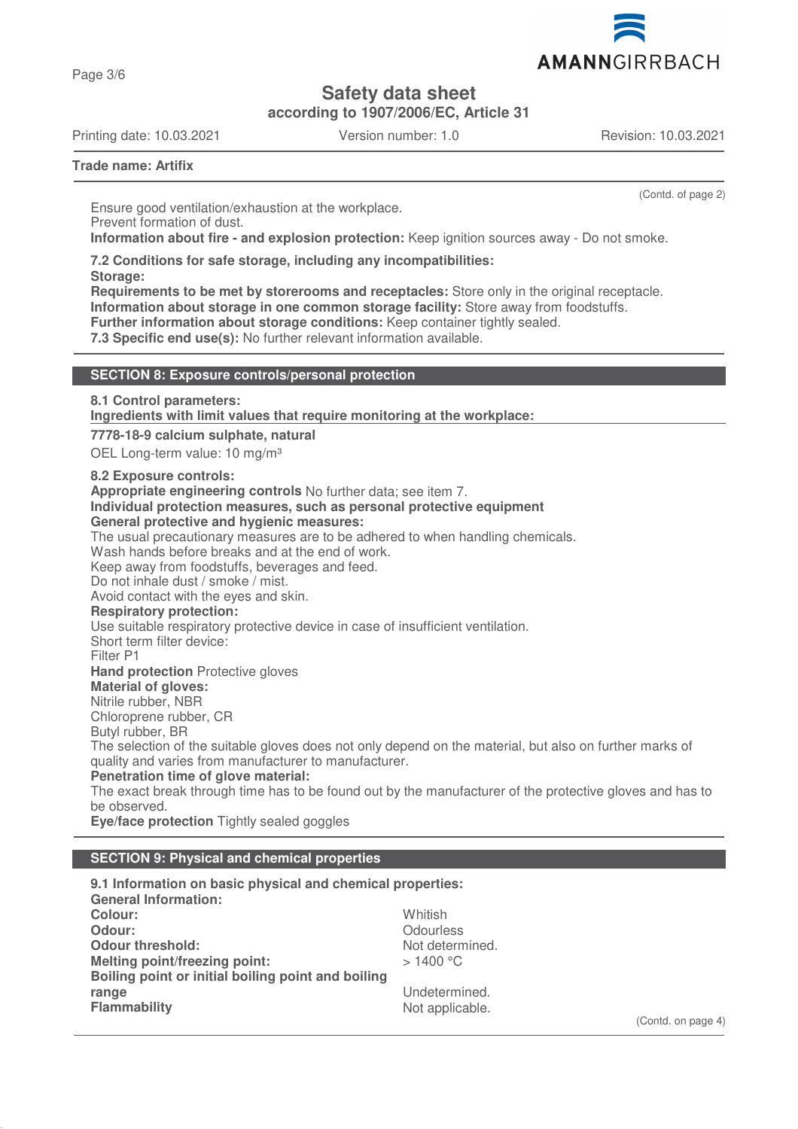

Page 3/6

# **Safety data sheet**

**according to 1907/2006/EC, Article 31**

Printing date: 10.03.2021 Version number: 1.0 Revision: 10.03.2021

(Contd. of page 2)

**Trade name: Artifix**

Ensure good ventilation/exhaustion at the workplace. Prevent formation of dust. **Information about fire - and explosion protection:** Keep ignition sources away - Do not smoke.

**7.2 Conditions for safe storage, including any incompatibilities:**

**Storage:**

**Requirements to be met by storerooms and receptacles:** Store only in the original receptacle. **Information about storage in one common storage facility:** Store away from foodstuffs. **Further information about storage conditions:** Keep container tightly sealed.

**7.3 Specific end use(s):** No further relevant information available.

## **SECTION 8: Exposure controls/personal protection**

**8.1 Control parameters:**

**Ingredients with limit values that require monitoring at the workplace:** 

**7778-18-9 calcium sulphate, natural**

OEL Long-term value: 10 mg/m<sup>3</sup>

**8.2 Exposure controls:**

**Appropriate engineering controls** No further data; see item 7.

## **Individual protection measures, such as personal protective equipment**

## **General protective and hygienic measures:**

The usual precautionary measures are to be adhered to when handling chemicals.

Wash hands before breaks and at the end of work.

Keep away from foodstuffs, beverages and feed.

Do not inhale dust / smoke / mist.

Avoid contact with the eyes and skin.

**Respiratory protection:**

Use suitable respiratory protective device in case of insufficient ventilation.

Short term filter device:

Filter P1

**Hand protection** Protective gloves

## **Material of gloves:**

Nitrile rubber, NBR

Chloroprene rubber, CR

Butyl rubber, BR

The selection of the suitable gloves does not only depend on the material, but also on further marks of quality and varies from manufacturer to manufacturer.

**Penetration time of glove material:**

The exact break through time has to be found out by the manufacturer of the protective gloves and has to be observed.

**Eye/face protection** Tightly sealed goggles

## **SECTION 9: Physical and chemical properties**

**9.1 Information on basic physical and chemical properties: General Information: Colour:** Whitish **Odour:** Odourless<br> **Odour threshold:** The Contract of Contract Contract Odourless<br>
Odour threshold: The Contract Odourless Contract Odourless **Odour threshold:**<br>
Melting point/freezing point:<br>
Melting point/freezing point:<br>
> 1400 °C **Melting point/freezing point: Boiling point or initial boiling point and boiling range** Undetermined.<br> **Flammability** Contract Contract Contract Contract Contract Contract Contract Contract Contract Contract Contra<br>
Not applicable. Not applicable.

(Contd. on page 4)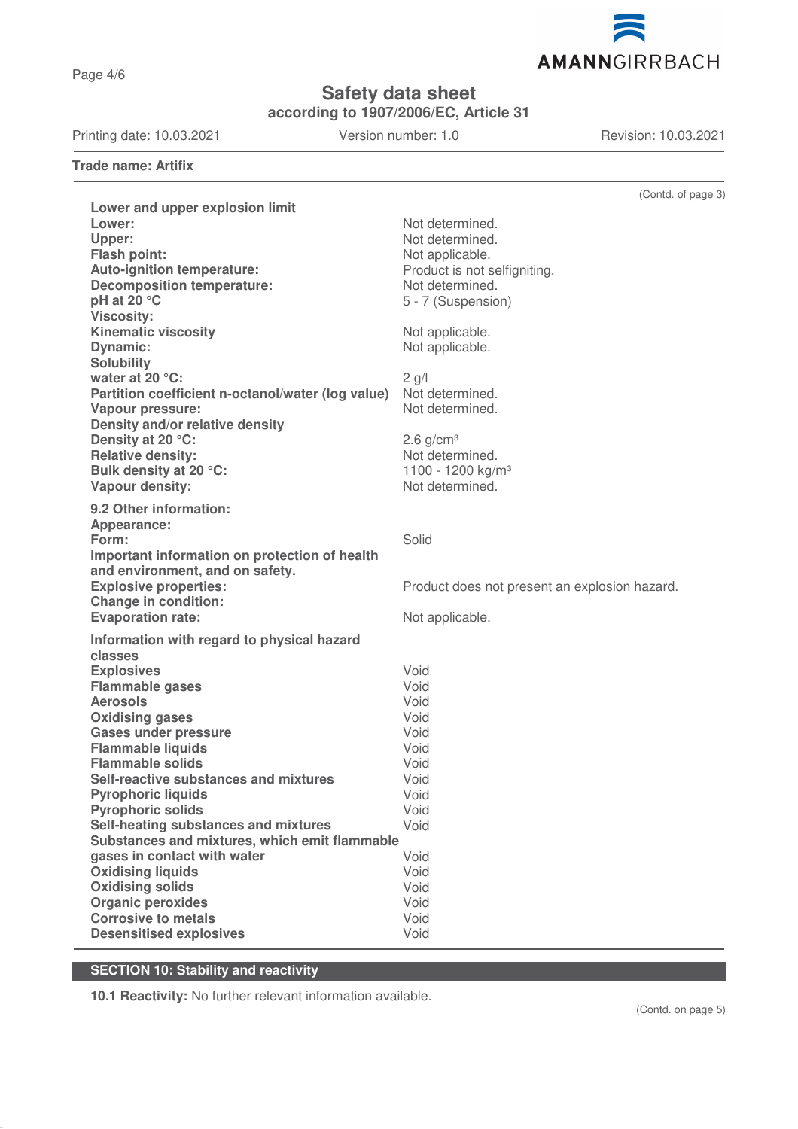AMANNGIRRBACH

**Safety data sheet**

**according to 1907/2006/EC, Article 31**

Printing date: 10.03.2021 Version number: 1.0 Revision: 10.03.2021

**Trade name: Artifix**

|                                                                      | (Contd. of page 3)                            |
|----------------------------------------------------------------------|-----------------------------------------------|
| Lower and upper explosion limit                                      |                                               |
| Lower:                                                               | Not determined.                               |
| Upper:                                                               | Not determined.                               |
| <b>Flash point:</b>                                                  | Not applicable.                               |
| Auto-ignition temperature:                                           | Product is not selfigniting.                  |
| <b>Decomposition temperature:</b>                                    | Not determined.                               |
| pH at 20 °C                                                          | 5 - 7 (Suspension)                            |
| <b>Viscosity:</b>                                                    |                                               |
| <b>Kinematic viscosity</b>                                           | Not applicable.                               |
| <b>Dynamic:</b>                                                      | Not applicable.                               |
| <b>Solubility</b>                                                    |                                               |
| water at 20 °C:<br>Partition coefficient n-octanol/water (log value) | $2$ g/l<br>Not determined.                    |
| <b>Vapour pressure:</b>                                              | Not determined.                               |
| Density and/or relative density                                      |                                               |
| Density at 20 °C:                                                    | $2.6$ g/cm <sup>3</sup>                       |
| <b>Relative density:</b>                                             | Not determined.                               |
| Bulk density at 20 °C:                                               | 1100 - 1200 kg/m <sup>3</sup>                 |
| Vapour density:                                                      | Not determined.                               |
|                                                                      |                                               |
| 9.2 Other information:                                               |                                               |
| Appearance:<br>Form:                                                 | Solid                                         |
| Important information on protection of health                        |                                               |
| and environment, and on safety.                                      |                                               |
| <b>Explosive properties:</b>                                         | Product does not present an explosion hazard. |
| <b>Change in condition:</b>                                          |                                               |
| <b>Evaporation rate:</b>                                             | Not applicable.                               |
|                                                                      |                                               |
| Information with regard to physical hazard<br>classes                |                                               |
| <b>Explosives</b>                                                    | Void                                          |
| <b>Flammable gases</b>                                               | Void                                          |
| <b>Aerosols</b>                                                      | Void                                          |
| <b>Oxidising gases</b>                                               | Void                                          |
| <b>Gases under pressure</b>                                          | Void                                          |
| <b>Flammable liquids</b>                                             | Void                                          |
| <b>Flammable solids</b>                                              | Void                                          |
| Self-reactive substances and mixtures                                | Void                                          |
| <b>Pyrophoric liquids</b>                                            | Void                                          |
| <b>Pyrophoric solids</b>                                             | Void                                          |
| Self-heating substances and mixtures                                 | Void                                          |
| Substances and mixtures, which emit flammable                        |                                               |
| gases in contact with water                                          | Void                                          |
| <b>Oxidising liquids</b><br><b>Oxidising solids</b>                  | Void<br>Void                                  |
| <b>Organic peroxides</b>                                             | Void                                          |
| <b>Corrosive to metals</b>                                           | Void                                          |
| <b>Desensitised explosives</b>                                       | Void                                          |
|                                                                      |                                               |

# **SECTION 10: Stability and reactivity**

**10.1 Reactivity:** No further relevant information available.

(Contd. on page 5)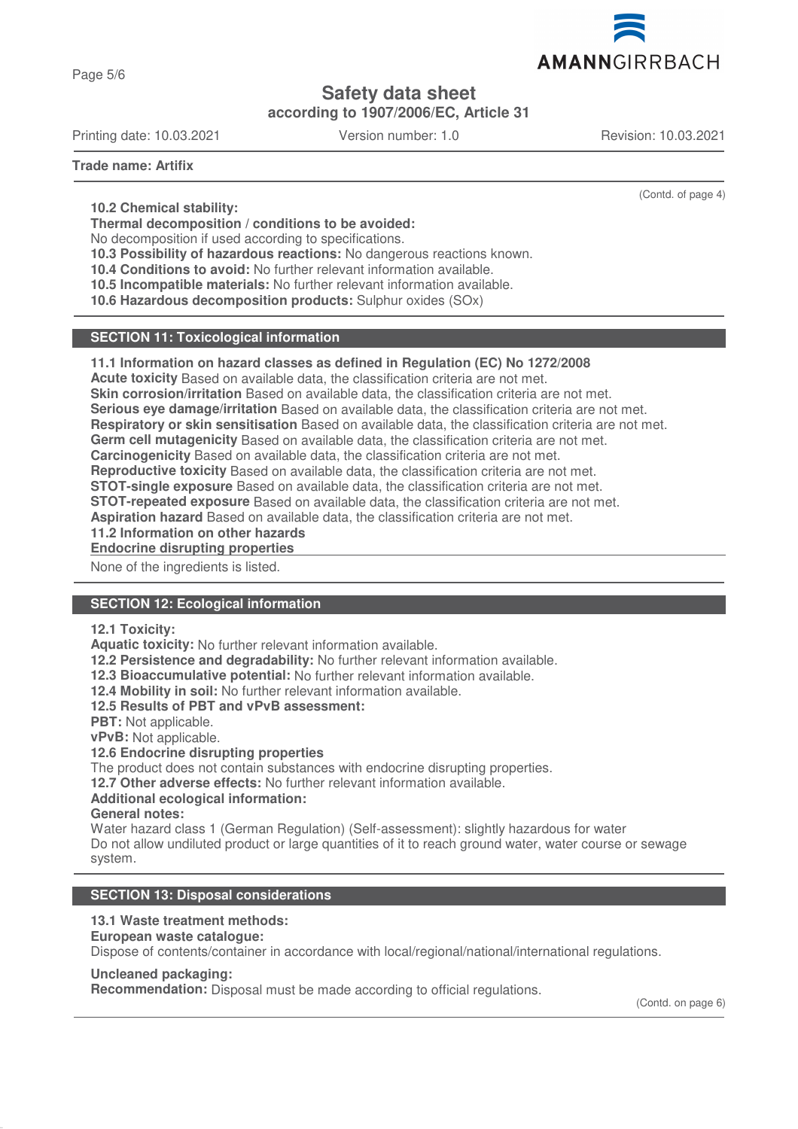

Page 5/6

# **Safety data sheet**

**according to 1907/2006/EC, Article 31**

Printing date: 10.03.2021 Version number: 1.0 Revision: 10.03.2021

(Contd. of page 4)

**Trade name: Artifix**

**10.2 Chemical stability:**

**Thermal decomposition / conditions to be avoided:**

No decomposition if used according to specifications.

**10.3 Possibility of hazardous reactions:** No dangerous reactions known.

**10.4 Conditions to avoid:** No further relevant information available.

**10.5 Incompatible materials:** No further relevant information available.

**10.6 Hazardous decomposition products:** Sulphur oxides (SOx)

## **SECTION 11: Toxicological information**

#### **11.1 Information on hazard classes as defined in Regulation (EC) No 1272/2008**

**Acute toxicity** Based on available data, the classification criteria are not met.

**Skin corrosion/irritation** Based on available data, the classification criteria are not met.

**Serious eye damage/irritation** Based on available data, the classification criteria are not met.

**Respiratory or skin sensitisation** Based on available data, the classification criteria are not met.

**Germ cell mutagenicity** Based on available data, the classification criteria are not met.

**Carcinogenicity** Based on available data, the classification criteria are not met.

**Reproductive toxicity** Based on available data, the classification criteria are not met.

**STOT-single exposure** Based on available data, the classification criteria are not met.

**STOT-repeated exposure** Based on available data, the classification criteria are not met.

**Aspiration hazard** Based on available data, the classification criteria are not met.

**11.2 Information on other hazards**

**Endocrine disrupting properties** 

None of the ingredients is listed.

## **SECTION 12: Ecological information**

#### **12.1 Toxicity:**

**Aquatic toxicity:** No further relevant information available.

**12.2 Persistence and degradability:** No further relevant information available.

**12.3 Bioaccumulative potential:** No further relevant information available.

**12.4 Mobility in soil:** No further relevant information available.

**12.5 Results of PBT and vPvB assessment:**

**PBT:** Not applicable.

**vPvB:** Not applicable.

## **12.6 Endocrine disrupting properties**

The product does not contain substances with endocrine disrupting properties.

**12.7 Other adverse effects:** No further relevant information available.

## **Additional ecological information:**

**General notes:**

Water hazard class 1 (German Regulation) (Self-assessment): slightly hazardous for water Do not allow undiluted product or large quantities of it to reach ground water, water course or sewage system.

## **SECTION 13: Disposal considerations**

## **13.1 Waste treatment methods:**

**European waste catalogue:**

Dispose of contents/container in accordance with local/regional/national/international regulations.

#### **Uncleaned packaging:**

**Recommendation:** Disposal must be made according to official regulations.